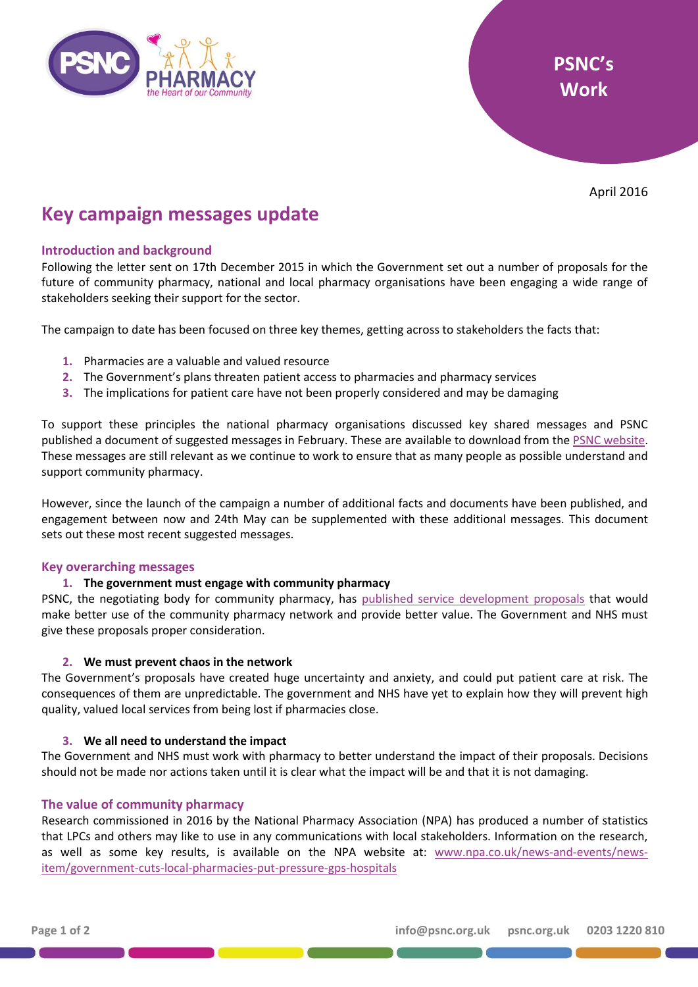

April 2016

# **Key campaign messages update**

## **Introduction and background**

Following the letter sent on 17th December 2015 in which the Government set out a number of proposals for the future of community pharmacy, national and local pharmacy organisations have been engaging a wide range of stakeholders seeking their support for the sector.

The campaign to date has been focused on three key themes, getting across to stakeholders the facts that:

- **1.** Pharmacies are a valuable and valued resource
- **2.** The Government's plans threaten patient access to pharmacies and pharmacy services
- **3.** The implications for patient care have not been properly considered and may be damaging

To support these principles the national pharmacy organisations discussed key shared messages and PSNC published a document of suggested messages in February. These are available to download from th[e PSNC website.](http://psnc.org.uk/wp-content/uploads/2013/04/Key-campaign-messages.pdf) These messages are still relevant as we continue to work to ensure that as many people as possible understand and support community pharmacy.

However, since the launch of the campaign a number of additional facts and documents have been published, and engagement between now and 24th May can be supplemented with these additional messages. This document sets out these most recent suggested messages.

### **Key overarching messages**

### **1. The government must engage with community pharmacy**

PSNC, the negotiating body for community pharmacy, has [published service development proposals](http://psnc.org.uk/our-news/psnc-update-service-development-proposals-published/) that would make better use of the community pharmacy network and provide better value. The Government and NHS must give these proposals proper consideration.

### **2. We must prevent chaos in the network**

The Government's proposals have created huge uncertainty and anxiety, and could put patient care at risk. The consequences of them are unpredictable. The government and NHS have yet to explain how they will prevent high quality, valued local services from being lost if pharmacies close.

### **3. We all need to understand the impact**

The Government and NHS must work with pharmacy to better understand the impact of their proposals. Decisions should not be made nor actions taken until it is clear what the impact will be and that it is not damaging.

### **The value of community pharmacy**

Research commissioned in 2016 by the National Pharmacy Association (NPA) has produced a number of statistics that LPCs and others may like to use in any communications with local stakeholders. Information on the research, as well as some key results, is available on the NPA website at: [www.npa.co.uk/news-and-events/news](http://www.npa.co.uk/news-and-events/news-item/government-cuts-local-pharmacies-put-pressure-gps-hospitals)[item/government-cuts-local-pharmacies-put-pressure-gps-hospitals](http://www.npa.co.uk/news-and-events/news-item/government-cuts-local-pharmacies-put-pressure-gps-hospitals)